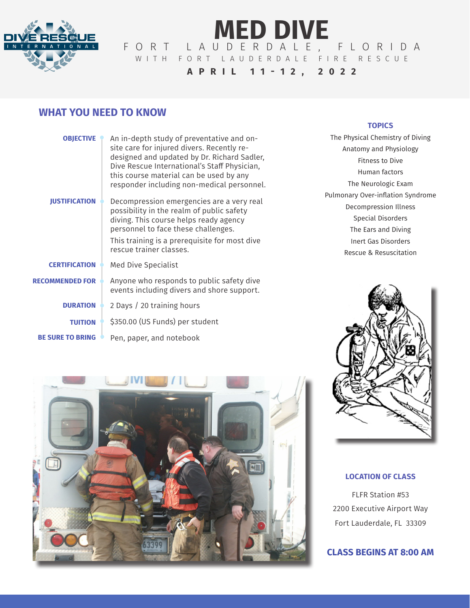

# **MED DIVE** FORT LAUDERDALE, FLORIDA WITH FORT LAUDERDALE FIRE RESCUE **APRIL 11-12, 2022**

# **WHAT YOU NEED TO KNOW**

| <b>OBJECTIVE</b><br><b>IUSTIFICATION</b> | An in-depth study of preventative and on-<br>site care for injured divers. Recently re-<br>designed and updated by Dr. Richard Sadler,<br>Dive Rescue International's Staff Physician,<br>this course material can be used by any<br>responder including non-medical personnel.<br>Decompression emergencies are a very real<br>possibility in the realm of public safety<br>diving. This course helps ready agency<br>personnel to face these challenges.<br>This training is a prerequisite for most dive<br>rescue trainer classes. |
|------------------------------------------|----------------------------------------------------------------------------------------------------------------------------------------------------------------------------------------------------------------------------------------------------------------------------------------------------------------------------------------------------------------------------------------------------------------------------------------------------------------------------------------------------------------------------------------|
| <b>CERTIFICATION</b>                     | Med Dive Specialist                                                                                                                                                                                                                                                                                                                                                                                                                                                                                                                    |
| <b>RECOMMENDED FOR</b>                   | Anyone who responds to public safety dive<br>events including divers and shore support.                                                                                                                                                                                                                                                                                                                                                                                                                                                |
| <b>DURATION</b>                          | 2 Days / 20 training hours                                                                                                                                                                                                                                                                                                                                                                                                                                                                                                             |
| <b>TUITION</b>                           | \$350.00 (US Funds) per student                                                                                                                                                                                                                                                                                                                                                                                                                                                                                                        |
| <b>BE SURE TO BRING</b>                  | Pen, paper, and notebook                                                                                                                                                                                                                                                                                                                                                                                                                                                                                                               |

#### **TOPICS**

The Physical Chemistry of Diving Anatomy and Physiology Fitness to Dive Human factors The Neurologic Exam Pulmonary Over-inflation Syndrome Decompression Illness Special Disorders The Ears and Diving Inert Gas Disorders Rescue & Resuscitation



#### **LOCATION OF CLASS**

FLFR Station #53 2200 Executive Airport Way Fort Lauderdale, FL 33309

## **CLASS BEGINS AT 8:00 AM**